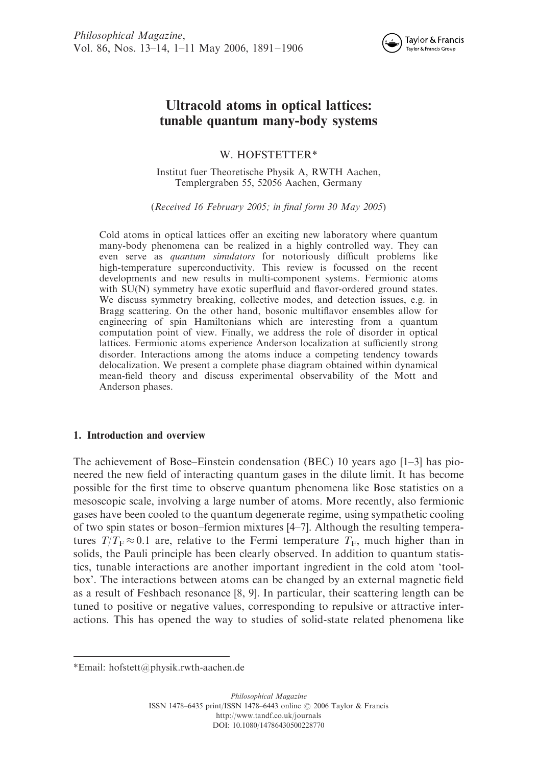

# Ultracold atoms in optical lattices: tunable quantum many-body systems

W. HOFSTETTER\*

Institut fuer Theoretische Physik A, RWTH Aachen, Templergraben 55, 52056 Aachen, Germany

(Received 16 February 2005; in final form 30 May 2005)

Cold atoms in optical lattices offer an exciting new laboratory where quantum many-body phenomena can be realized in a highly controlled way. They can even serve as quantum simulators for notoriously difficult problems like high-temperature superconductivity. This review is focussed on the recent developments and new results in multi-component systems. Fermionic atoms with SU(N) symmetry have exotic superfluid and flavor-ordered ground states. We discuss symmetry breaking, collective modes, and detection issues, e.g. in Bragg scattering. On the other hand, bosonic multiflavor ensembles allow for engineering of spin Hamiltonians which are interesting from a quantum computation point of view. Finally, we address the role of disorder in optical lattices. Fermionic atoms experience Anderson localization at sufficiently strong disorder. Interactions among the atoms induce a competing tendency towards delocalization. We present a complete phase diagram obtained within dynamical mean-field theory and discuss experimental observability of the Mott and Anderson phases.

## 1. Introduction and overview

The achievement of Bose–Einstein condensation (BEC) 10 years ago [1–3] has pioneered the new field of interacting quantum gases in the dilute limit. It has become possible for the first time to observe quantum phenomena like Bose statistics on a mesoscopic scale, involving a large number of atoms. More recently, also fermionic gases have been cooled to the quantum degenerate regime, using sympathetic cooling of two spin states or boson–fermion mixtures [4–7]. Although the resulting temperatures  $T/T_F \approx 0.1$  are, relative to the Fermi temperature  $T_F$ , much higher than in solids, the Pauli principle has been clearly observed. In addition to quantum statistics, tunable interactions are another important ingredient in the cold atom 'toolbox'. The interactions between atoms can be changed by an external magnetic field as a result of Feshbach resonance [8, 9]. In particular, their scattering length can be tuned to positive or negative values, corresponding to repulsive or attractive interactions. This has opened the way to studies of solid-state related phenomena like

<sup>\*</sup>Email: hofstett@physik.rwth-aachen.de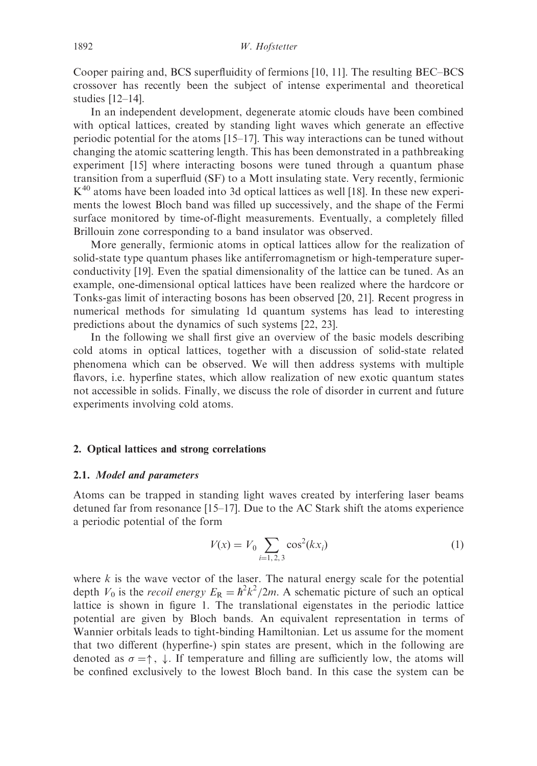Cooper pairing and, BCS superfluidity of fermions [10, 11]. The resulting BEC–BCS crossover has recently been the subject of intense experimental and theoretical studies [12–14].

In an independent development, degenerate atomic clouds have been combined with optical lattices, created by standing light waves which generate an effective periodic potential for the atoms [15–17]. This way interactions can be tuned without changing the atomic scattering length. This has been demonstrated in a pathbreaking experiment [15] where interacting bosons were tuned through a quantum phase transition from a superfluid (SF) to a Mott insulating state. Very recently, fermionic  $K<sup>40</sup>$  atoms have been loaded into 3d optical lattices as well [18]. In these new experiments the lowest Bloch band was filled up successively, and the shape of the Fermi surface monitored by time-of-flight measurements. Eventually, a completely filled Brillouin zone corresponding to a band insulator was observed.

More generally, fermionic atoms in optical lattices allow for the realization of solid-state type quantum phases like antiferromagnetism or high-temperature superconductivity [19]. Even the spatial dimensionality of the lattice can be tuned. As an example, one-dimensional optical lattices have been realized where the hardcore or Tonks-gas limit of interacting bosons has been observed [20, 21]. Recent progress in numerical methods for simulating 1d quantum systems has lead to interesting predictions about the dynamics of such systems [22, 23].

In the following we shall first give an overview of the basic models describing cold atoms in optical lattices, together with a discussion of solid-state related phenomena which can be observed. We will then address systems with multiple flavors, i.e. hyperfine states, which allow realization of new exotic quantum states not accessible in solids. Finally, we discuss the role of disorder in current and future experiments involving cold atoms.

## 2. Optical lattices and strong correlations

#### 2.1. Model and parameters

Atoms can be trapped in standing light waves created by interfering laser beams detuned far from resonance [15–17]. Due to the AC Stark shift the atoms experience a periodic potential of the form

$$
V(x) = V_0 \sum_{i=1,2,3} \cos^2(kx_i)
$$
 (1)

where  $k$  is the wave vector of the laser. The natural energy scale for the potential depth  $V_0$  is the *recoil energy*  $E_R = \hbar^2 k^2 / 2m$ . A schematic picture of such an optical lattice is shown in figure 1. The translational eigenstates in the periodic lattice potential are given by Bloch bands. An equivalent representation in terms of Wannier orbitals leads to tight-binding Hamiltonian. Let us assume for the moment that two different (hyperfine-) spin states are present, which in the following are denoted as  $\sigma = \uparrow$ ,  $\downarrow$ . If temperature and filling are sufficiently low, the atoms will be confined exclusively to the lowest Bloch band. In this case the system can be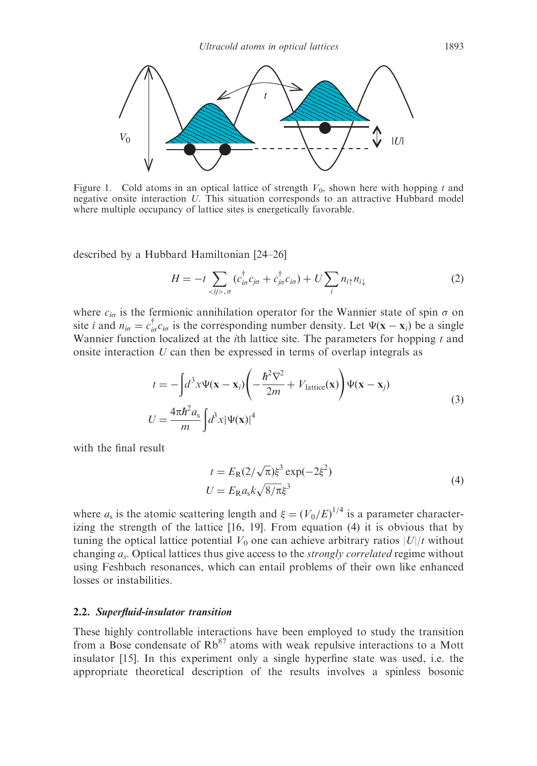

Figure 1. Cold atoms in an optical lattice of strength  $V_0$ , shown here with hopping t and negative onsite interaction  $U$ . This situation corresponds to an attractive Hubbard model where multiple occupancy of lattice sites is energetically favorable.

described by a Hubbard Hamiltonian [24–26]

$$
H = -t \sum_{\langle ij \rangle, \sigma} (c_{i\sigma}^{\dagger} c_{j\sigma} + c_{j\sigma}^{\dagger} c_{i\sigma}) + U \sum_{i} n_{i\uparrow} n_{i\downarrow}
$$
 (2)

where  $c_{i\sigma}$  is the fermionic annihilation operator for the Wannier state of spin  $\sigma$  on site *i* and  $n_{i\sigma} = c_{i\sigma}^{\dagger} c_{i\sigma}$  is the corresponding number density. Let  $\Psi(\mathbf{x} - \mathbf{x}_i)$  be a single Wannier function localized at the *i*th lattice site. The parameters for hopping  $t$  and onsite interaction U can then be expressed in terms of overlap integrals as

$$
t = -\int d^3 x \Psi(\mathbf{x} - \mathbf{x}_i) \left( -\frac{\hbar^2 \nabla^2}{2m} + V_{\text{lattice}}(\mathbf{x}) \right) \Psi(\mathbf{x} - \mathbf{x}_j)
$$
  

$$
U = \frac{4\pi \hbar^2 a_s}{m} \int d^3 x |\Psi(\mathbf{x})|^4
$$
 (3)

with the final result

$$
t = E_{R}(2/\sqrt{\pi})\xi^{3} \exp(-2\xi^{2})
$$
  
\n
$$
U = E_{R}a_{s}k\sqrt{8/\pi}\xi^{3}
$$
\n(4)

where  $a_s$  is the atomic scattering length and  $\xi = (V_0/E)^{1/4}$  is a parameter characterizing the strength of the lattice [16, 19]. From equation (4) it is obvious that by tuning the optical lattice potential  $V_0$  one can achieve arbitrary ratios  $|U|/t$  without changing  $a_s$ . Optical lattices thus give access to the *strongly correlated* regime without using Feshbach resonances, which can entail problems of their own like enhanced losses or instabilities.

### 2.2. Superfluid-insulator transition

These highly controllable interactions have been employed to study the transition from a Bose condensate of  $Rb^{87}$  atoms with weak repulsive interactions to a Mott insulator [15]. In this experiment only a single hyperfine state was used, i.e. the appropriate theoretical description of the results involves a spinless bosonic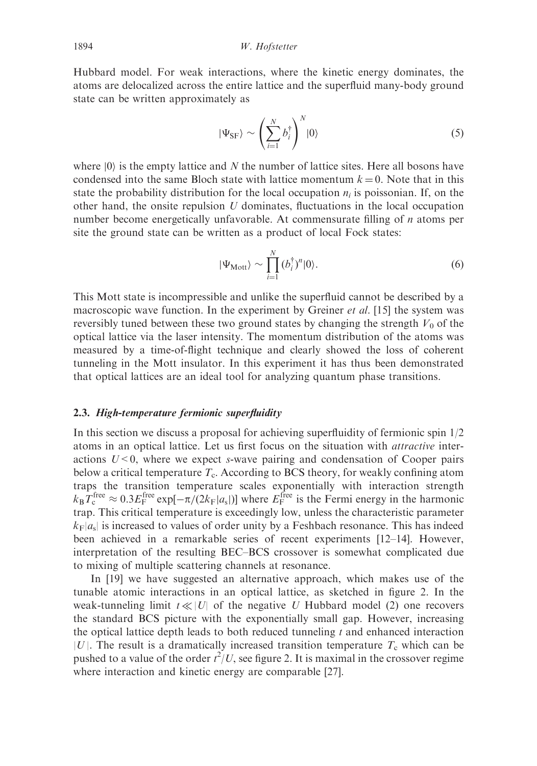Hubbard model. For weak interactions, where the kinetic energy dominates, the atoms are delocalized across the entire lattice and the superfluid many-body ground state can be written approximately as

$$
|\Psi_{\rm SF}\rangle \sim \left(\sum_{i=1}^N b_i^\dagger\right)^N |0\rangle \tag{5}
$$

where  $|0\rangle$  is the empty lattice and N the number of lattice sites. Here all bosons have condensed into the same Bloch state with lattice momentum  $k = 0$ . Note that in this state the probability distribution for the local occupation  $n_i$  is poissonian. If, on the other hand, the onsite repulsion  $U$  dominates, fluctuations in the local occupation number become energetically unfavorable. At commensurate filling of n atoms per site the ground state can be written as a product of local Fock states:

$$
|\Psi_{\text{Mott}}\rangle \sim \prod_{i=1}^{N} (b_i^{\dagger})^n |0\rangle. \tag{6}
$$

This Mott state is incompressible and unlike the superfluid cannot be described by a macroscopic wave function. In the experiment by Greiner *et al.* [15] the system was reversibly tuned between these two ground states by changing the strength  $V_0$  of the optical lattice via the laser intensity. The momentum distribution of the atoms was measured by a time-of-flight technique and clearly showed the loss of coherent tunneling in the Mott insulator. In this experiment it has thus been demonstrated that optical lattices are an ideal tool for analyzing quantum phase transitions.

#### 2.3. High-temperature fermionic superfluidity

In this section we discuss a proposal for achieving superfluidity of fermionic spin  $1/2$ atoms in an optical lattice. Let us first focus on the situation with attractive interactions  $U<0$ , where we expect s-wave pairing and condensation of Cooper pairs below a critical temperature  $T_c$ . According to BCS theory, for weakly confining atom traps the transition temperature scales exponentially with interaction strength  $k_B T_c^{\text{free}} \approx 0.3 E_F^{\text{free}} \exp[-\pi/(2k_F|a_s|)]$  where  $E_F^{\text{free}}$  is the Fermi energy in the harmonic trap. This critical temperature is exceedingly low, unless the characteristic parameter  $k_{\text{F}}|a_{\text{s}}|$  is increased to values of order unity by a Feshbach resonance. This has indeed been achieved in a remarkable series of recent experiments [12–14]. However, interpretation of the resulting BEC–BCS crossover is somewhat complicated due to mixing of multiple scattering channels at resonance.

In [19] we have suggested an alternative approach, which makes use of the tunable atomic interactions in an optical lattice, as sketched in figure 2. In the weak-tunneling limit  $t \ll |U|$  of the negative U Hubbard model (2) one recovers the standard BCS picture with the exponentially small gap. However, increasing the optical lattice depth leads to both reduced tunneling  $t$  and enhanced interaction |U|. The result is a dramatically increased transition temperature  $T_c$  which can be pushed to a value of the order  $t^2/U$ , see figure 2. It is maximal in the crossover regime where interaction and kinetic energy are comparable [27].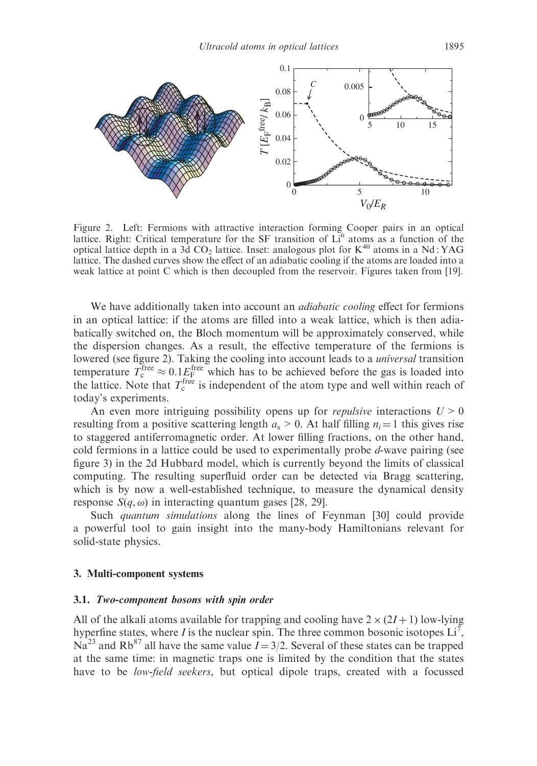

Figure 2. Left: Fermions with attractive interaction forming Cooper pairs in an optical lattice. Right: Critical temperature for the SF transition of  $Li<sup>6</sup>$  atoms as a function of the optical lattice depth in a 3d  $CO<sub>2</sub>$  lattice. Inset: analogous plot for  $K<sup>40</sup>$  atoms in a Nd : YAG lattice. The dashed curves show the effect of an adiabatic cooling if the atoms are loaded into a weak lattice at point C which is then decoupled from the reservoir. Figures taken from [19].

We have additionally taken into account an *adiabatic cooling* effect for fermions in an optical lattice: if the atoms are filled into a weak lattice, which is then adiabatically switched on, the Bloch momentum will be approximately conserved, while the dispersion changes. As a result, the effective temperature of the fermions is lowered (see figure 2). Taking the cooling into account leads to a universal transition temperature  $T_c^{\text{free}} \approx 0.1 E_F^{\text{free}}$  which has to be achieved before the gas is loaded into the lattice. Note that  $T_c^{\text{free}}$  is independent of the atom type and well within reach of today's experiments.

An even more intriguing possibility opens up for *repulsive* interactions  $U > 0$ resulting from a positive scattering length  $a_s > 0$ . At half filling  $n_i = 1$  this gives rise to staggered antiferromagnetic order. At lower filling fractions, on the other hand, cold fermions in a lattice could be used to experimentally probe d-wave pairing (see figure 3) in the 2d Hubbard model, which is currently beyond the limits of classical computing. The resulting superfluid order can be detected via Bragg scattering, which is by now a well-established technique, to measure the dynamical density response  $S(q, \omega)$  in interacting quantum gases [28, 29].

Such *quantum simulations* along the lines of Feynman [30] could provide a powerful tool to gain insight into the many-body Hamiltonians relevant for solid-state physics.

#### 3. Multi-component systems

#### 3.1. Two-component bosons with spin order

All of the alkali atoms available for trapping and cooling have  $2 \times (2I + 1)$  low-lying hyperfine states, where *I* is the nuclear spin. The three common bosonic isotopes  $Li^7$ ,  $\text{Na}^{23}$  and  $\text{Rb}^{87}$  all have the same value  $I = 3/2$ . Several of these states can be trapped at the same time: in magnetic traps one is limited by the condition that the states have to be *low-field seekers*, but optical dipole traps, created with a focussed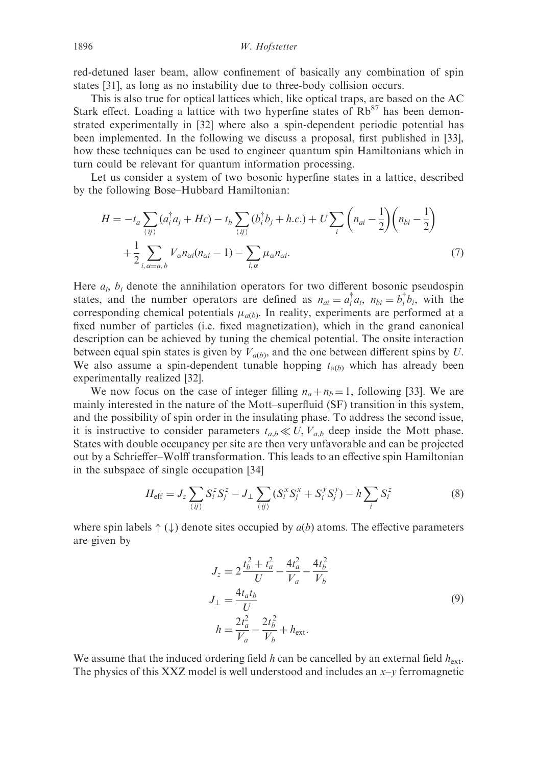red-detuned laser beam, allow confinement of basically any combination of spin states [31], as long as no instability due to three-body collision occurs.

This is also true for optical lattices which, like optical traps, are based on the AC Stark effect. Loading a lattice with two hyperfine states of  $Rb^{87}$  has been demonstrated experimentally in [32] where also a spin-dependent periodic potential has been implemented. In the following we discuss a proposal, first published in [33], how these techniques can be used to engineer quantum spin Hamiltonians which in turn could be relevant for quantum information processing.

Let us consider a system of two bosonic hyperfine states in a lattice, described by the following Bose–Hubbard Hamiltonian:

$$
H = -t_a \sum_{\langle ij \rangle} (a_i^{\dagger} a_j + Hc) - t_b \sum_{\langle ij \rangle} (b_i^{\dagger} b_j + h.c.) + U \sum_i \left( n_{ai} - \frac{1}{2} \right) \left( n_{bi} - \frac{1}{2} \right) + \frac{1}{2} \sum_{i, \alpha = a, b} V_{\alpha} n_{\alpha i} (n_{\alpha i} - 1) - \sum_{i, \alpha} \mu_{\alpha} n_{\alpha i}.
$$
 (7)

Here  $a_i$ ,  $b_i$  denote the annihilation operators for two different bosonic pseudospin states, and the number operators are defined as  $n_{ai} = a_i^{\dagger} a_i$ ,  $n_{bi} = b_i^{\dagger} b_i$ , with the corresponding chemical potentials  $\mu_{a(b)}$ . In reality, experiments are performed at a fixed number of particles (i.e. fixed magnetization), which in the grand canonical description can be achieved by tuning the chemical potential. The onsite interaction between equal spin states is given by  $V_{a(b)}$ , and the one between different spins by U. We also assume a spin-dependent tunable hopping  $t_{a(b)}$  which has already been experimentally realized [32].

We now focus on the case of integer filling  $n_a + n_b = 1$ , following [33]. We are mainly interested in the nature of the Mott–superfluid (SF) transition in this system, and the possibility of spin order in the insulating phase. To address the second issue, it is instructive to consider parameters  $t_{a,b} \ll U$ ,  $V_{a,b}$  deep inside the Mott phase. States with double occupancy per site are then very unfavorable and can be projected out by a Schrieffer–Wolff transformation. This leads to an effective spin Hamiltonian in the subspace of single occupation [34]

$$
H_{\text{eff}} = J_z \sum_{\langle ij \rangle} S_i^z S_j^z - J_\perp \sum_{\langle ij \rangle} (S_i^x S_j^x + S_i^y S_j^y) - h \sum_i S_i^z \tag{8}
$$

where spin labels  $\uparrow (\downarrow)$  denote sites occupied by  $a(b)$  atoms. The effective parameters are given by

$$
J_z = 2\frac{t_b^2 + t_a^2}{U} - \frac{4t_a^2}{V_a} - \frac{4t_b^2}{V_b}
$$
  
\n
$$
J_{\perp} = \frac{4t_a t_b}{U}
$$
  
\n
$$
h = \frac{2t_a^2}{V_a} - \frac{2t_b^2}{V_b} + h_{\text{ext}}.
$$
\n(9)

We assume that the induced ordering field h can be cancelled by an external field  $h_{\text{ext}}$ . The physics of this XXZ model is well understood and includes an  $x-y$  ferromagnetic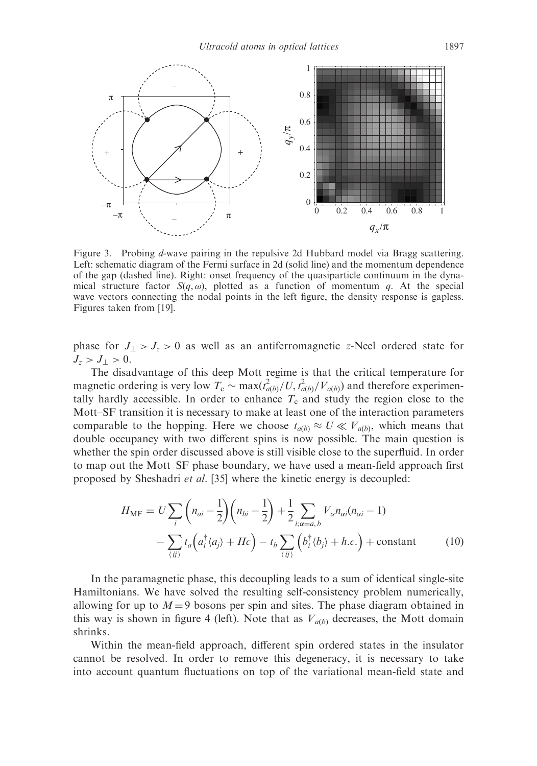

Figure 3. Probing d-wave pairing in the repulsive 2d Hubbard model via Bragg scattering. Left: schematic diagram of the Fermi surface in 2d (solid line) and the momentum dependence of the gap (dashed line). Right: onset frequency of the quasiparticle continuum in the dynamical structure factor  $S(q, \omega)$ , plotted as a function of momentum q. At the special wave vectors connecting the nodal points in the left figure, the density response is gapless. Figures taken from [19].

phase for  $J_{\perp} > J_{z} > 0$  as well as an antiferromagnetic z-Neel ordered state for  $J_z > J_{\perp} > 0.$ 

The disadvantage of this deep Mott regime is that the critical temperature for magnetic ordering is very low  $T_c \sim \max(t_{a(b)}^2/U, t_{a(b)}^2/V_{a(b)})$  and therefore experimentally hardly accessible. In order to enhance  $T_c$  and study the region close to the Mott–SF transition it is necessary to make at least one of the interaction parameters comparable to the hopping. Here we choose  $t_{a(b)} \approx U \ll V_{a(b)}$ , which means that double occupancy with two different spins is now possible. The main question is whether the spin order discussed above is still visible close to the superfluid. In order to map out the Mott–SF phase boundary, we have used a mean-field approach first proposed by Sheshadri et al. [35] where the kinetic energy is decoupled:

$$
H_{\text{MF}} = U \sum_{i} \left( n_{ai} - \frac{1}{2} \right) \left( n_{bi} - \frac{1}{2} \right) + \frac{1}{2} \sum_{i; \alpha = a, b} V_{\alpha} n_{\alpha i} (n_{\alpha i} - 1)
$$

$$
- \sum_{\langle ij \rangle} t_a \left( a_i^{\dagger} \langle a_j \rangle + Hc \right) - t_b \sum_{\langle ij \rangle} \left( b_i^{\dagger} \langle b_j \rangle + h.c. \right) + \text{constant} \tag{10}
$$

In the paramagnetic phase, this decoupling leads to a sum of identical single-site Hamiltonians. We have solved the resulting self-consistency problem numerically, allowing for up to  $M = 9$  bosons per spin and sites. The phase diagram obtained in this way is shown in figure 4 (left). Note that as  $V_{a(b)}$  decreases, the Mott domain shrinks.

Within the mean-field approach, different spin ordered states in the insulator cannot be resolved. In order to remove this degeneracy, it is necessary to take into account quantum fluctuations on top of the variational mean-field state and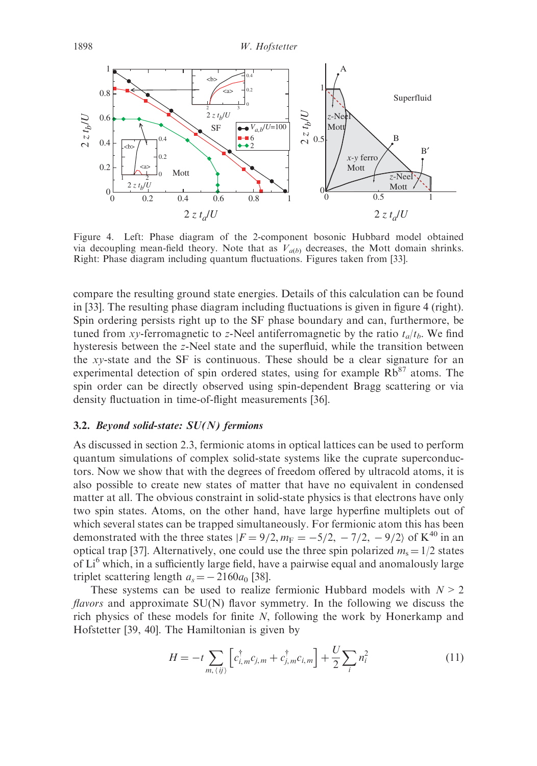

Figure 4. Left: Phase diagram of the 2-component bosonic Hubbard model obtained via decoupling mean-field theory. Note that as  $V_{a(b)}$  decreases, the Mott domain shrinks. Right: Phase diagram including quantum fluctuations. Figures taken from [33].

compare the resulting ground state energies. Details of this calculation can be found in [33]. The resulting phase diagram including fluctuations is given in figure 4 (right). Spin ordering persists right up to the SF phase boundary and can, furthermore, be tuned from xy-ferromagnetic to z-Neel antiferromagnetic by the ratio  $t_a/t_b$ . We find hysteresis between the z-Neel state and the superfluid, while the transition between the  $xy$ -state and the SF is continuous. These should be a clear signature for an experimental detection of spin ordered states, using for example  $Rb^{87}$  atoms. The spin order can be directly observed using spin-dependent Bragg scattering or via density fluctuation in time-of-flight measurements [36].

## 3.2. Beyond solid-state: SU(N) fermions

As discussed in section 2.3, fermionic atoms in optical lattices can be used to perform quantum simulations of complex solid-state systems like the cuprate superconductors. Now we show that with the degrees of freedom offered by ultracold atoms, it is also possible to create new states of matter that have no equivalent in condensed matter at all. The obvious constraint in solid-state physics is that electrons have only two spin states. Atoms, on the other hand, have large hyperfine multiplets out of which several states can be trapped simultaneously. For fermionic atom this has been demonstrated with the three states  $|F = 9/2, m_F = -5/2, -7/2, -9/2\rangle$  of K<sup>40</sup> in an optical trap [37]. Alternatively, one could use the three spin polarized  $m_s = 1/2$  states of  $Li<sup>6</sup>$  which, in a sufficiently large field, have a pairwise equal and anomalously large triplet scattering length  $a_s = -2160a_0$  [38].

These systems can be used to realize fermionic Hubbard models with  $N > 2$ *flavors* and approximate  $SU(N)$  flavor symmetry. In the following we discuss the rich physics of these models for finite N, following the work by Honerkamp and Hofstetter [39, 40]. The Hamiltonian is given by

$$
H = -t \sum_{m,\langle ij \rangle} \left[ c_{i,m}^{\dagger} c_{j,m} + c_{j,m}^{\dagger} c_{i,m} \right] + \frac{U}{2} \sum_{i} n_i^2 \tag{11}
$$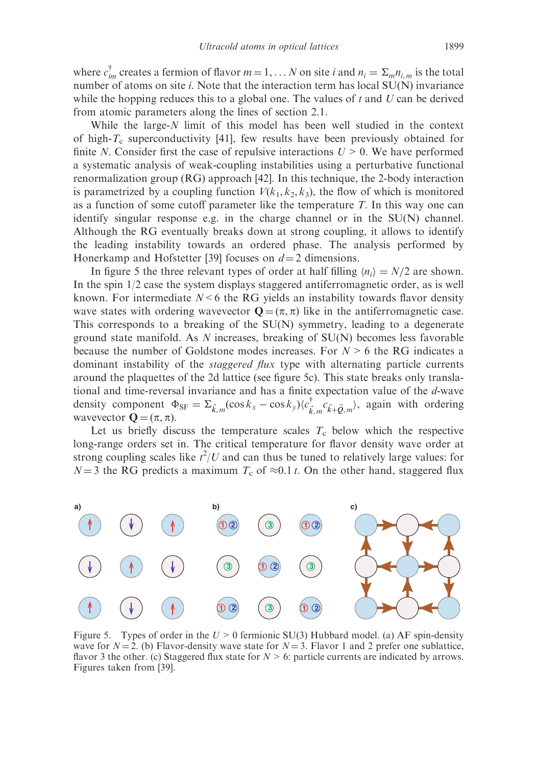where  $c_{im}^{\dagger}$  creates a fermion of flavor  $m = 1, \ldots N$  on site *i* and  $n_i = \sum_m n_{i,m}$  is the total number of atoms on site i. Note that the interaction term has local SU(N) invariance while the hopping reduces this to a global one. The values of  $t$  and  $U$  can be derived from atomic parameters along the lines of section 2.1.

While the large-N limit of this model has been well studied in the context of high- $T_c$  superconductivity [41], few results have been previously obtained for finite N. Consider first the case of repulsive interactions  $U > 0$ . We have performed a systematic analysis of weak-coupling instabilities using a perturbative functional renormalization group (RG) approach [42]. In this technique, the 2-body interaction is parametrized by a coupling function  $V(k_1, k_2, k_3)$ , the flow of which is monitored as a function of some cutoff parameter like the temperature  $T$ . In this way one can identify singular response e.g. in the charge channel or in the  $SU(N)$  channel. Although the RG eventually breaks down at strong coupling, it allows to identify the leading instability towards an ordered phase. The analysis performed by Honerkamp and Hofstetter [39] focuses on  $d = 2$  dimensions.

In figure 5 the three relevant types of order at half filling  $\langle n_i \rangle = N/2$  are shown. In the spin 1/2 case the system displays staggered antiferromagnetic order, as is well known. For intermediate  $N \leq 6$  the RG yields an instability towards flavor density wave states with ordering wavevector  $\mathbf{Q} = (\pi, \pi)$  like in the antiferromagnetic case. This corresponds to a breaking of the SU(N) symmetry, leading to a degenerate ground state manifold. As N increases, breaking of SU(N) becomes less favorable because the number of Goldstone modes increases. For  $N > 6$  the RG indicates a dominant instability of the *staggered flux* type with alternating particle currents around the plaquettes of the 2d lattice (see figure 5c). This state breaks only translational and time-reversal invariance and has a finite expectation value of the d-wave density component  $\Phi_{\text{SF}} = \sum_{\vec{k}, m} (\cos k_x - \cos k_y) \langle c_{\vec{k}}^{\dagger} \rangle$  $\bar{k}_{k,m} c_{\vec{k}+\vec{Q},m}$ , again with ordering wavevector  $\mathbf{Q} = (\pi, \pi)$ .

Let us briefly discuss the temperature scales  $T_c$  below which the respective long-range orders set in. The critical temperature for flavor density wave order at strong coupling scales like  $t^2/U$  and can thus be tuned to relatively large values: for  $N = 3$  the RG predicts a maximum  $T_c$  of  $\approx 0.1$  t. On the other hand, staggered flux



Figure 5. Types of order in the  $U > 0$  fermionic SU(3) Hubbard model. (a) AF spin-density wave for  $N = 2$ . (b) Flavor-density wave state for  $N = 3$ . Flavor 1 and 2 prefer one sublattice, flavor 3 the other. (c) Staggered flux state for  $N > 6$ : particle currents are indicated by arrows. Figures taken from [39].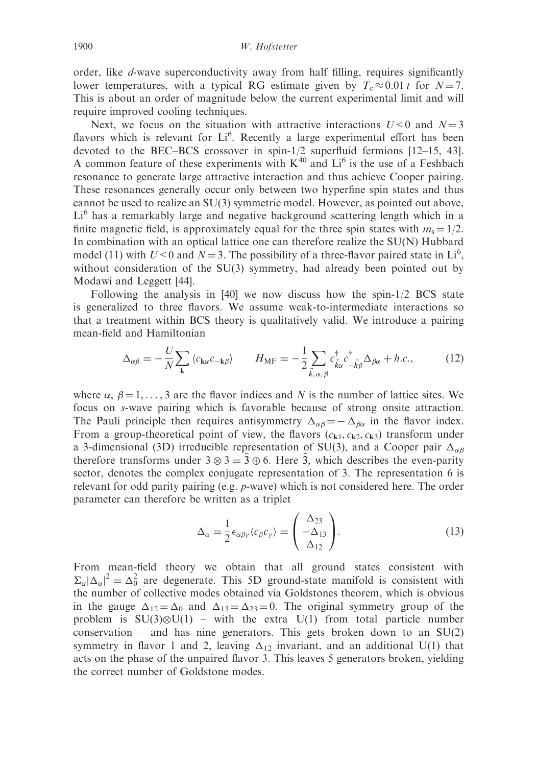order, like d-wave superconductivity away from half filling, requires significantly lower temperatures, with a typical RG estimate given by  $T_c \approx 0.01 t$  for  $N = 7$ . This is about an order of magnitude below the current experimental limit and will require improved cooling techniques.

Next, we focus on the situation with attractive interactions  $U < 0$  and  $N = 3$ flavors which is relevant for Li<sup>6</sup>. Recently a large experimental effort has been devoted to the BEC–BCS crossover in spin-1/2 superfluid fermions [12–15, 43]. A common feature of these experiments with  $K^{40}$  and  $Li^6$  is the use of a Feshbach resonance to generate large attractive interaction and thus achieve Cooper pairing. These resonances generally occur only between two hyperfine spin states and thus cannot be used to realize an SU(3) symmetric model. However, as pointed out above, Li<sup>6</sup> has a remarkably large and negative background scattering length which in a finite magnetic field, is approximately equal for the three spin states with  $m_s = 1/2$ . In combination with an optical lattice one can therefore realize the SU(N) Hubbard model (11) with  $U < 0$  and  $N = 3$ . The possibility of a three-flavor paired state in Li<sup>6</sup>, without consideration of the SU(3) symmetry, had already been pointed out by Modawi and Leggett [44].

Following the analysis in [40] we now discuss how the spin-1/2 BCS state is generalized to three flavors. We assume weak-to-intermediate interactions so that a treatment within BCS theory is qualitatively valid. We introduce a pairing mean-field and Hamiltonian

$$
\Delta_{\alpha\beta} = -\frac{U}{N} \sum_{\mathbf{k}} \langle c_{\mathbf{k}\alpha} c_{-\mathbf{k}\beta} \rangle \qquad H_{\text{MF}} = -\frac{1}{2} \sum_{\vec{k}, \alpha, \beta} c_{\vec{k}\alpha}^{\dagger} c_{-\vec{k}\beta}^{\dagger} \Delta_{\beta\alpha} + h.c., \tag{12}
$$

where  $\alpha$ ,  $\beta = 1, \ldots, 3$  are the flavor indices and N is the number of lattice sites. We focus on s-wave pairing which is favorable because of strong onsite attraction. The Pauli principle then requires antisymmetry  $\Delta_{\alpha\beta} = -\Delta_{\beta\alpha}$  in the flavor index. From a group-theoretical point of view, the flavors  $(c_{k1}, c_{k2}, c_{k3})$  transform under a 3-dimensional (3D) irreducible representation of SU(3), and a Cooper pair  $\Delta_{\alpha\beta}$ therefore transforms under  $3 \otimes 3 = \overline{3} \oplus 6$ . Here  $\overline{3}$ , which describes the even-parity sector, denotes the complex conjugate representation of 3. The representation 6 is relevant for odd parity pairing (e.g. p-wave) which is not considered here. The order parameter can therefore be written as a triplet

$$
\Delta_{\alpha} = \frac{1}{2} \epsilon_{\alpha\beta\gamma} \langle c_{\beta} c_{\gamma} \rangle = \begin{pmatrix} \Delta_{23} \\ -\Delta_{13} \\ \Delta_{12} \end{pmatrix} . \tag{13}
$$

From mean-field theory we obtain that all ground states consistent with  $\Sigma_{\alpha} |\Delta_{\alpha}|^2 = \Delta_0^2$  are degenerate. This 5D ground-state manifold is consistent with the number of collective modes obtained via Goldstones theorem, which is obvious in the gauge  $\Delta_{12} = \Delta_0$  and  $\Delta_{13} = \Delta_{23} = 0$ . The original symmetry group of the problem is  $SU(3) \otimes U(1)$  – with the extra  $U(1)$  from total particle number conservation – and has nine generators. This gets broken down to an  $SU(2)$ symmetry in flavor 1 and 2, leaving  $\Delta_{12}$  invariant, and an additional U(1) that acts on the phase of the unpaired flavor 3. This leaves 5 generators broken, yielding the correct number of Goldstone modes.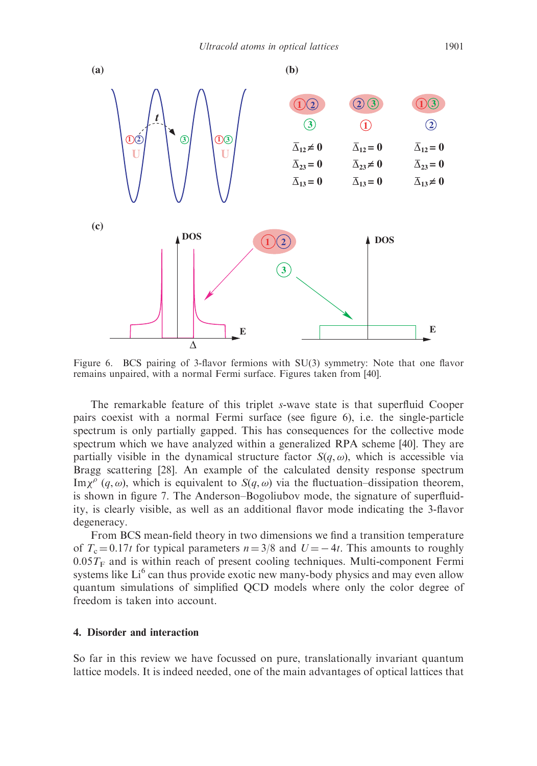

Figure 6. BCS pairing of 3-flavor fermions with SU(3) symmetry: Note that one flavor remains unpaired, with a normal Fermi surface. Figures taken from [40].

The remarkable feature of this triplet s-wave state is that superfluid Cooper pairs coexist with a normal Fermi surface (see figure 6), i.e. the single-particle spectrum is only partially gapped. This has consequences for the collective mode spectrum which we have analyzed within a generalized RPA scheme [40]. They are partially visible in the dynamical structure factor  $S(q, \omega)$ , which is accessible via Bragg scattering [28]. An example of the calculated density response spectrum  $\text{Im}\,\chi^{\rho}(q,\omega)$ , which is equivalent to  $S(q,\omega)$  via the fluctuation–dissipation theorem, is shown in figure 7. The Anderson–Bogoliubov mode, the signature of superfluidity, is clearly visible, as well as an additional flavor mode indicating the 3-flavor degeneracy.

From BCS mean-field theory in two dimensions we find a transition temperature of  $T_c = 0.17t$  for typical parameters  $n = 3/8$  and  $U = -4t$ . This amounts to roughly  $0.05T<sub>F</sub>$  and is within reach of present cooling techniques. Multi-component Fermi systems like  $Li<sup>6</sup>$  can thus provide exotic new many-body physics and may even allow quantum simulations of simplified QCD models where only the color degree of freedom is taken into account.

## 4. Disorder and interaction

So far in this review we have focussed on pure, translationally invariant quantum lattice models. It is indeed needed, one of the main advantages of optical lattices that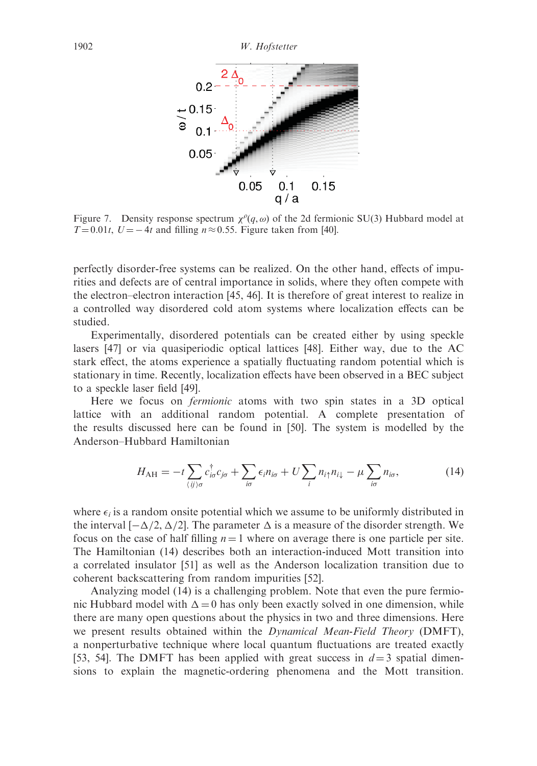

Figure 7. Density response spectrum  $\chi^{\rho}(q,\omega)$  of the 2d fermionic SU(3) Hubbard model at  $T = 0.01t$ ,  $U = -4t$  and filling  $n \approx 0.55$ . Figure taken from [40].

perfectly disorder-free systems can be realized. On the other hand, effects of impurities and defects are of central importance in solids, where they often compete with the electron–electron interaction [45, 46]. It is therefore of great interest to realize in a controlled way disordered cold atom systems where localization effects can be studied.

Experimentally, disordered potentials can be created either by using speckle lasers [47] or via quasiperiodic optical lattices [48]. Either way, due to the AC stark effect, the atoms experience a spatially fluctuating random potential which is stationary in time. Recently, localization effects have been observed in a BEC subject to a speckle laser field [49].

Here we focus on fermionic atoms with two spin states in a 3D optical lattice with an additional random potential. A complete presentation of the results discussed here can be found in [50]. The system is modelled by the Anderson–Hubbard Hamiltonian

$$
H_{\rm AH} = -t \sum_{\langle ij \rangle \sigma} c_{i\sigma}^{\dagger} c_{j\sigma} + \sum_{i\sigma} \epsilon_i n_{i\sigma} + U \sum_i n_{i\uparrow} n_{i\downarrow} - \mu \sum_{i\sigma} n_{i\sigma}, \tag{14}
$$

where  $\epsilon_i$  is a random onsite potential which we assume to be uniformly distributed in the interval  $[-\Delta/2, \Delta/2]$ . The parameter  $\Delta$  is a measure of the disorder strength. We focus on the case of half filling  $n = 1$  where on average there is one particle per site. The Hamiltonian (14) describes both an interaction-induced Mott transition into a correlated insulator [51] as well as the Anderson localization transition due to coherent backscattering from random impurities [52].

Analyzing model (14) is a challenging problem. Note that even the pure fermionic Hubbard model with  $\Delta = 0$  has only been exactly solved in one dimension, while there are many open questions about the physics in two and three dimensions. Here we present results obtained within the *Dynamical Mean-Field Theory* (DMFT), a nonperturbative technique where local quantum fluctuations are treated exactly [53, 54]. The DMFT has been applied with great success in  $d=3$  spatial dimensions to explain the magnetic-ordering phenomena and the Mott transition.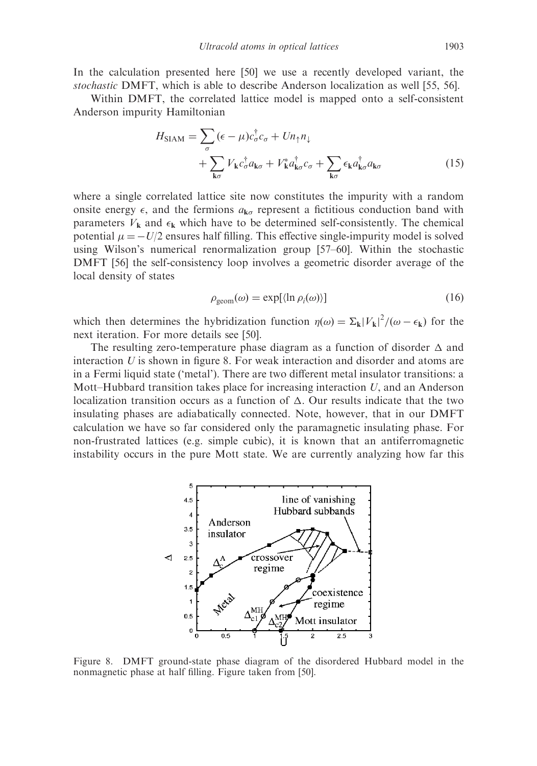In the calculation presented here [50] we use a recently developed variant, the stochastic DMFT, which is able to describe Anderson localization as well [55, 56].

Within DMFT, the correlated lattice model is mapped onto a self-consistent Anderson impurity Hamiltonian

$$
H_{\text{SIAM}} = \sum_{\sigma} (\epsilon - \mu) c_{\sigma}^{\dagger} c_{\sigma} + U n_{\uparrow} n_{\downarrow} + \sum_{\mathbf{k}\sigma} V_{\mathbf{k}} c_{\sigma}^{\dagger} a_{\mathbf{k}\sigma} + V_{\mathbf{k}}^* a_{\mathbf{k}\sigma}^{\dagger} c_{\sigma} + \sum_{\mathbf{k}\sigma} \epsilon_{\mathbf{k}} a_{\mathbf{k}\sigma}^{\dagger} a_{\mathbf{k}\sigma}
$$
(15)

where a single correlated lattice site now constitutes the impurity with a random onsite energy  $\epsilon$ , and the fermions  $a_{\mathbf{k}\sigma}$  represent a fictitious conduction band with parameters  $V_k$  and  $\epsilon_k$  which have to be determined self-consistently. The chemical potential  $\mu = -U/2$  ensures half filling. This effective single-impurity model is solved using Wilson's numerical renormalization group [57–60]. Within the stochastic DMFT [56] the self-consistency loop involves a geometric disorder average of the local density of states

$$
\rho_{\text{geom}}(\omega) = \exp[\langle \ln \rho_i(\omega) \rangle] \tag{16}
$$

which then determines the hybridization function  $\eta(\omega) = \sum_{k} |V_{k}|^{2} / (\omega - \epsilon_{k})$  for the next iteration. For more details see [50].

The resulting zero-temperature phase diagram as a function of disorder  $\Delta$  and interaction  $U$  is shown in figure 8. For weak interaction and disorder and atoms are in a Fermi liquid state ('metal'). There are two different metal insulator transitions: a Mott–Hubbard transition takes place for increasing interaction  $U$ , and an Anderson localization transition occurs as a function of  $\Delta$ . Our results indicate that the two insulating phases are adiabatically connected. Note, however, that in our DMFT calculation we have so far considered only the paramagnetic insulating phase. For non-frustrated lattices (e.g. simple cubic), it is known that an antiferromagnetic instability occurs in the pure Mott state. We are currently analyzing how far this



Figure 8. DMFT ground-state phase diagram of the disordered Hubbard model in the nonmagnetic phase at half filling. Figure taken from [50].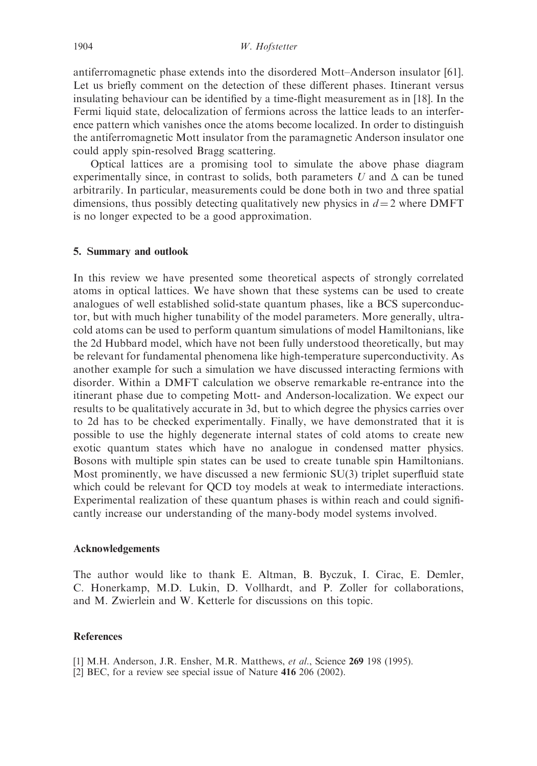antiferromagnetic phase extends into the disordered Mott–Anderson insulator [61]. Let us briefly comment on the detection of these different phases. Itinerant versus insulating behaviour can be identified by a time-flight measurement as in [18]. In the Fermi liquid state, delocalization of fermions across the lattice leads to an interference pattern which vanishes once the atoms become localized. In order to distinguish the antiferromagnetic Mott insulator from the paramagnetic Anderson insulator one could apply spin-resolved Bragg scattering.

Optical lattices are a promising tool to simulate the above phase diagram experimentally since, in contrast to solids, both parameters U and  $\Delta$  can be tuned arbitrarily. In particular, measurements could be done both in two and three spatial dimensions, thus possibly detecting qualitatively new physics in  $d = 2$  where DMFT is no longer expected to be a good approximation.

#### 5. Summary and outlook

In this review we have presented some theoretical aspects of strongly correlated atoms in optical lattices. We have shown that these systems can be used to create analogues of well established solid-state quantum phases, like a BCS superconductor, but with much higher tunability of the model parameters. More generally, ultracold atoms can be used to perform quantum simulations of model Hamiltonians, like the 2d Hubbard model, which have not been fully understood theoretically, but may be relevant for fundamental phenomena like high-temperature superconductivity. As another example for such a simulation we have discussed interacting fermions with disorder. Within a DMFT calculation we observe remarkable re-entrance into the itinerant phase due to competing Mott- and Anderson-localization. We expect our results to be qualitatively accurate in 3d, but to which degree the physics carries over to 2d has to be checked experimentally. Finally, we have demonstrated that it is possible to use the highly degenerate internal states of cold atoms to create new exotic quantum states which have no analogue in condensed matter physics. Bosons with multiple spin states can be used to create tunable spin Hamiltonians. Most prominently, we have discussed a new fermionic SU(3) triplet superfluid state which could be relevant for QCD toy models at weak to intermediate interactions. Experimental realization of these quantum phases is within reach and could significantly increase our understanding of the many-body model systems involved.

#### Acknowledgements

The author would like to thank E. Altman, B. Byczuk, I. Cirac, E. Demler, C. Honerkamp, M.D. Lukin, D. Vollhardt, and P. Zoller for collaborations, and M. Zwierlein and W. Ketterle for discussions on this topic.

## References

- [1] M.H. Anderson, J.R. Ensher, M.R. Matthews, et al., Science 269 198 (1995).
- [2] BEC, for a review see special issue of Nature 416 206 (2002).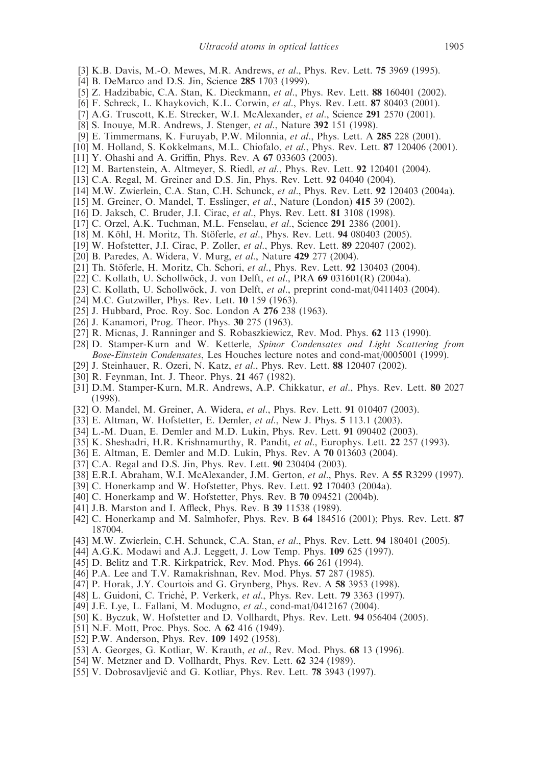- [3] K.B. Davis, M.-O. Mewes, M.R. Andrews, et al., Phys. Rev. Lett. 75 3969 (1995).
- [4] B. DeMarco and D.S. Jin, Science 285 1703 (1999).
- [5] Z. Hadzibabic, C.A. Stan, K. Dieckmann, et al., Phys. Rev. Lett. 88 160401 (2002).
- [6] F. Schreck, L. Khaykovich, K.L. Corwin, et al., Phys. Rev. Lett. 87 80403 (2001).
- [7] A.G. Truscott, K.E. Strecker, W.I. McAlexander, *et al.*, Science **291** 2570 (2001).
- [8] S. Inouve, M.R. Andrews, J. Stenger, et al., Nature 392 151 (1998).
- [9] E. Timmermans, K. Furuyab, P.W. Milonnia, *et al.*, Phys. Lett. A  $285\ 228\ (2001)$ .
- [10] M. Holland, S. Kokkelmans, M.L. Chiofalo, et al., Phys. Rev. Lett. 87 120406 (2001).
- [11] Y. Ohashi and A. Griffin, Phys. Rev. A 67 033603 (2003).
- [12] M. Bartenstein, A. Altmeyer, S. Riedl, et al., Phys. Rev. Lett. 92 120401 (2004).
- [13] C.A. Regal, M. Greiner and D.S. Jin, Phys. Rev. Lett. 92 04040 (2004).
- [14] M.W. Zwierlein, C.A. Stan, C.H. Schunck, et al., Phys. Rev. Lett. 92 120403 (2004a).
- [15] M. Greiner, O. Mandel, T. Esslinger, et al., Nature (London) **415** 39 (2002).
- [16] D. Jaksch, C. Bruder, J.I. Cirac, et al., Phys. Rev. Lett. 81 3108 (1998).
- [17] C. Orzel, A.K. Tuchman, M.L. Fenselau, et al., Science 291 2386 (2001).
- [18] M. Köhl, H. Moritz, Th. Stöferle, et al., Phys. Rev. Lett. 94 080403 (2005).
- [19] W. Hofstetter, J.I. Cirac, P. Zoller, et al., Phys. Rev. Lett. 89 220407 (2002).
- [20] B. Paredes, A. Widera, V. Murg, et al., Nature 429 277 (2004).
- [21] Th. Stöferle, H. Moritz, Ch. Schori, et al., Phys. Rev. Lett. 92 130403 (2004).
- [22] C. Kollath, U. Schollwöck, J. von Delft, et al., PRA 69 031601(R) (2004a).
- [23] C. Kollath, U. Schollwöck, J. von Delft, et al., preprint cond-mat/0411403 (2004).
- [24] M.C. Gutzwiller, Phys. Rev. Lett. **10** 159 (1963).
- [25] J. Hubbard, Proc. Roy. Soc. London A 276 238 (1963).
- [26] J. Kanamori, Prog. Theor. Phys. **30** 275 (1963).
- [27] R. Micnas, J. Ranninger and S. Robaszkiewicz, Rev. Mod. Phys. 62 113 (1990).
- [28] D. Stamper-Kurn and W. Ketterle, Spinor Condensates and Light Scattering from Bose-Einstein Condensates, Les Houches lecture notes and cond-mat/0005001 (1999).
- [29] J. Steinhauer, R. Ozeri, N. Katz, et al., Phys. Rev. Lett. 88 120407 (2002).
- [30] R. Feynman, Int. J. Theor. Phys. 21 467 (1982).
- [31] D.M. Stamper-Kurn, M.R. Andrews, A.P. Chikkatur, et al., Phys. Rev. Lett. 80 2027 (1998).
- [32] O. Mandel, M. Greiner, A. Widera, et al., Phys. Rev. Lett. 91 010407 (2003).
- [33] E. Altman, W. Hofstetter, E. Demler, *et al.*, New J. Phys. **5** 113.1 (2003).
- [34] L.-M. Duan, E. Demler and M.D. Lukin, Phys. Rev. Lett. 91 090402 (2003).
- [35] K. Sheshadri, H.R. Krishnamurthy, R. Pandit, et al., Europhys. Lett. 22 257 (1993).
- [36] E. Altman, E. Demler and M.D. Lukin, Phys. Rev. A 70 013603 (2004).
- [37] C.A. Regal and D.S. Jin, Phys. Rev. Lett. 90 230404 (2003).
- [38] E.R.I. Abraham, W.I. McAlexander, J.M. Gerton, et al., Phys. Rev. A 55 R3299 (1997).
- [39] C. Honerkamp and W. Hofstetter, Phys. Rev. Lett. 92 170403 (2004a).
- [40] C. Honerkamp and W. Hofstetter, Phys. Rev. B 70 094521 (2004b).
- [41] J.B. Marston and I. Affleck, Phys. Rev. B 39 11538 (1989).
- [42] C. Honerkamp and M. Salmhofer, Phys. Rev. B 64 184516 (2001); Phys. Rev. Lett. 87 187004.
- [43] M.W. Zwierlein, C.H. Schunck, C.A. Stan, et al., Phys. Rev. Lett. 94 180401 (2005).
- [44] A.G.K. Modawi and A.J. Leggett, J. Low Temp. Phys. 109 625 (1997).
- [45] D. Belitz and T.R. Kirkpatrick, Rev. Mod. Phys. 66 261 (1994).
- [46] P.A. Lee and T.V. Ramakrishnan, Rev. Mod. Phys. **57** 287 (1985).
- [47] P. Horak, J.Y. Courtois and G. Grynberg, Phys. Rev. A 58 3953 (1998).
- [48] L. Guidoni, C. Trichè, P. Verkerk, et al., Phys. Rev. Lett. 79 3363 (1997).
- [49] J.E. Lye, L. Fallani, M. Modugno, et al., cond-mat/0412167 (2004).
- [50] K. Byczuk, W. Hofstetter and D. Vollhardt, Phys. Rev. Lett. 94 056404 (2005).
- [51] N.F. Mott, Proc. Phys. Soc. A 62 416 (1949).
- [52] P.W. Anderson, Phys. Rev. 109 1492 (1958).
- [53] A. Georges, G. Kotliar, W. Krauth, et al., Rev. Mod. Phys. 68 13 (1996).
- [54] W. Metzner and D. Vollhardt, Phys. Rev. Lett. 62 324 (1989).
- [55] V. Dobrosavljević and G. Kotliar, Phys. Rev. Lett. 78 3943 (1997).